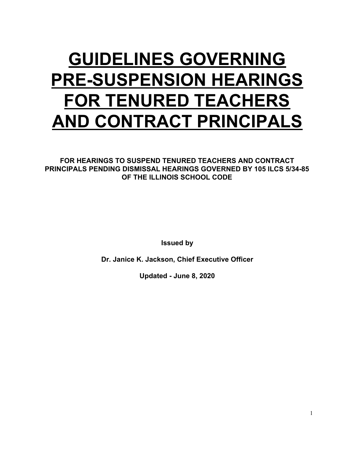# **GUIDELINES GOVERNING PRE-SUSPENSION HEARINGS FOR TENURED TEACHERS AND CONTRACT PRINCIPALS**

**FOR HEARINGS TO SUSPEND TENURED TEACHERS AND CONTRACT PRINCIPALS PENDING DISMISSAL HEARINGS GOVERNED BY 105 ILCS 5/34-85 OF THE ILLINOIS SCHOOL CODE**

**Issued by**

**Dr. Janice K. Jackson, Chief Executive Officer**

**Updated - June 8, 2020**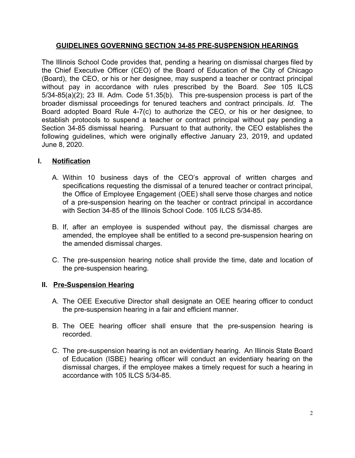#### **GUIDELINES GOVERNING SECTION 34-85 PRE-SUSPENSION HEARINGS**

The Illinois School Code provides that, pending a hearing on dismissal charges filed by the Chief Executive Officer (CEO) of the Board of Education of the City of Chicago (Board), the CEO, or his or her designee, may suspend a teacher or contract principal without pay in accordance with rules prescribed by the Board. *See* 105 ILCS 5/34-85(a)(2); 23 Ill. Adm. Code 51.35(b). This pre-suspension process is part of the broader dismissal proceedings for tenured teachers and contract principals. *Id*. The Board adopted Board Rule 4-7(c) to authorize the CEO, or his or her designee, to establish protocols to suspend a teacher or contract principal without pay pending a Section 34-85 dismissal hearing. Pursuant to that authority, the CEO establishes the following guidelines, which were originally effective January 23, 2019, and updated June 8, 2020.

## **I. Notification**

- A. Within 10 business days of the CEO's approval of written charges and specifications requesting the dismissal of a tenured teacher or contract principal, the Office of Employee Engagement (OEE) shall serve those charges and notice of a pre-suspension hearing on the teacher or contract principal in accordance with Section 34-85 of the Illinois School Code. 105 ILCS 5/34-85.
- B. If, after an employee is suspended without pay, the dismissal charges are amended, the employee shall be entitled to a second pre-suspension hearing on the amended dismissal charges.
- C. The pre-suspension hearing notice shall provide the time, date and location of the pre-suspension hearing.

## **II. Pre-Suspension Hearing**

- A. The OEE Executive Director shall designate an OEE hearing officer to conduct the pre-suspension hearing in a fair and efficient manner.
- B. The OEE hearing officer shall ensure that the pre-suspension hearing is recorded.
- C. The pre-suspension hearing is not an evidentiary hearing. An Illinois State Board of Education (ISBE) hearing officer will conduct an evidentiary hearing on the dismissal charges, if the employee makes a timely request for such a hearing in accordance with 105 ILCS 5/34-85.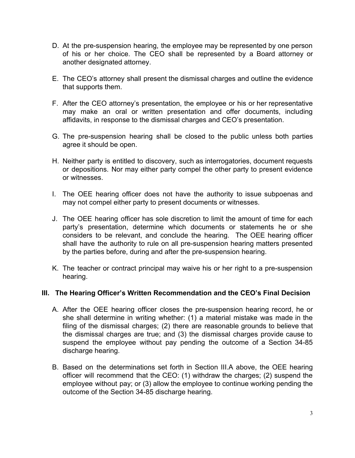- D. At the pre-suspension hearing, the employee may be represented by one person of his or her choice. The CEO shall be represented by a Board attorney or another designated attorney.
- E. The CEO's attorney shall present the dismissal charges and outline the evidence that supports them.
- F. After the CEO attorney's presentation, the employee or his or her representative may make an oral or written presentation and offer documents, including affidavits, in response to the dismissal charges and CEO's presentation.
- G. The pre-suspension hearing shall be closed to the public unless both parties agree it should be open.
- H. Neither party is entitled to discovery, such as interrogatories, document requests or depositions. Nor may either party compel the other party to present evidence or witnesses.
- I. The OEE hearing officer does not have the authority to issue subpoenas and may not compel either party to present documents or witnesses.
- J. The OEE hearing officer has sole discretion to limit the amount of time for each party's presentation, determine which documents or statements he or she considers to be relevant, and conclude the hearing. The OEE hearing officer shall have the authority to rule on all pre-suspension hearing matters presented by the parties before, during and after the pre-suspension hearing.
- K. The teacher or contract principal may waive his or her right to a pre-suspension hearing.

#### **III. The Hearing Officer's Written Recommendation and the CEO's Final Decision**

- A. After the OEE hearing officer closes the pre-suspension hearing record, he or she shall determine in writing whether: (1) a material mistake was made in the filing of the dismissal charges; (2) there are reasonable grounds to believe that the dismissal charges are true; and (3) the dismissal charges provide cause to suspend the employee without pay pending the outcome of a Section 34-85 discharge hearing.
- B. Based on the determinations set forth in Section III.A above, the OEE hearing officer will recommend that the CEO: (1) withdraw the charges; (2) suspend the employee without pay; or (3) allow the employee to continue working pending the outcome of the Section 34-85 discharge hearing.